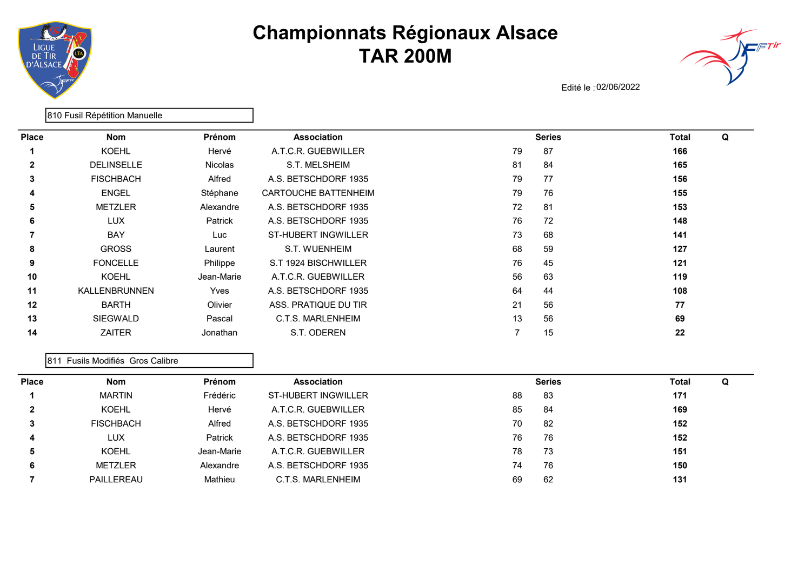

## Championnats Régionaux Alsace TAR 200M



Edité le : 02/06/2022

|              | 810 Fusil Répétition Manuelle |                |                             |    |               |              |   |
|--------------|-------------------------------|----------------|-----------------------------|----|---------------|--------------|---|
| <b>Place</b> | <b>Nom</b>                    | Prénom         | <b>Association</b>          |    | <b>Series</b> | <b>Total</b> | Q |
|              | <b>KOEHL</b>                  | Hervé          | A.T.C.R. GUEBWILLER         | 79 | 87            | 166          |   |
| $\mathbf{2}$ | <b>DELINSELLE</b>             | <b>Nicolas</b> | S.T. MELSHEIM               | 81 | 84            | 165          |   |
| 3            | <b>FISCHBACH</b>              | Alfred         | A.S. BETSCHDORF 1935        | 79 | 77            | 156          |   |
| 4            | <b>ENGEL</b>                  | Stéphane       | <b>CARTOUCHE BATTENHEIM</b> | 79 | 76            | 155          |   |
| 5            | <b>METZLER</b>                | Alexandre      | A.S. BETSCHDORF 1935        | 72 | 81            | 153          |   |
| 6            | <b>LUX</b>                    | Patrick        | A.S. BETSCHDORF 1935        | 76 | 72            | 148          |   |
|              | <b>BAY</b>                    | Luc            | <b>ST-HUBERT INGWILLER</b>  | 73 | 68            | 141          |   |
| 8            | <b>GROSS</b>                  | Laurent        | S.T. WUENHEIM               | 68 | 59            | 127          |   |
| 9            | <b>FONCELLE</b>               | Philippe       | S.T 1924 BISCHWILLER        | 76 | 45            | 121          |   |
| 10           | <b>KOEHL</b>                  | Jean-Marie     | A.T.C.R. GUEBWILLER         | 56 | 63            | 119          |   |
| 11           | <b>KALLENBRUNNEN</b>          | Yves           | A.S. BETSCHDORF 1935        | 64 | 44            | 108          |   |
| 12           | <b>BARTH</b>                  | Olivier        | ASS. PRATIQUE DU TIR        | 21 | 56            | 77           |   |
| 13           | <b>SIEGWALD</b>               | Pascal         | C.T.S. MARLENHEIM           | 13 | 56            | 69           |   |
| 14           | <b>ZAITER</b>                 | Jonathan       | S.T. ODEREN                 | 7  | 15            | 22           |   |

## 811 Fusils Modifiés Gros Calibre

| <b>Place</b> | <b>Nom</b>       | Prénom     | <b>Association</b>   |    | <b>Series</b> | Total | Q |
|--------------|------------------|------------|----------------------|----|---------------|-------|---|
|              | <b>MARTIN</b>    | Frédéric   | ST-HUBERT INGWILLER  | 88 | 83            | 171   |   |
| $\mathbf{2}$ | KOEHL            | Hervé      | A.T.C.R. GUEBWILLER  | 85 | 84            | 169   |   |
| 3            | <b>FISCHBACH</b> | Alfred     | A.S. BETSCHDORF 1935 | 70 | -82           | 152   |   |
| 4            | <b>LUX</b>       | Patrick    | A.S. BETSCHDORF 1935 | 76 | 76            | 152   |   |
| 5            | KOEHL            | Jean-Marie | A.T.C.R. GUEBWILLER  | 78 | 73            | 151   |   |
| 6            | METZLER          | Alexandre  | A.S. BETSCHDORF 1935 | 74 | 76            | 150   |   |
|              | PAILLEREAU       | Mathieu    | C.T.S. MARLENHEIM    | 69 | 62            | 131   |   |
|              |                  |            |                      |    |               |       |   |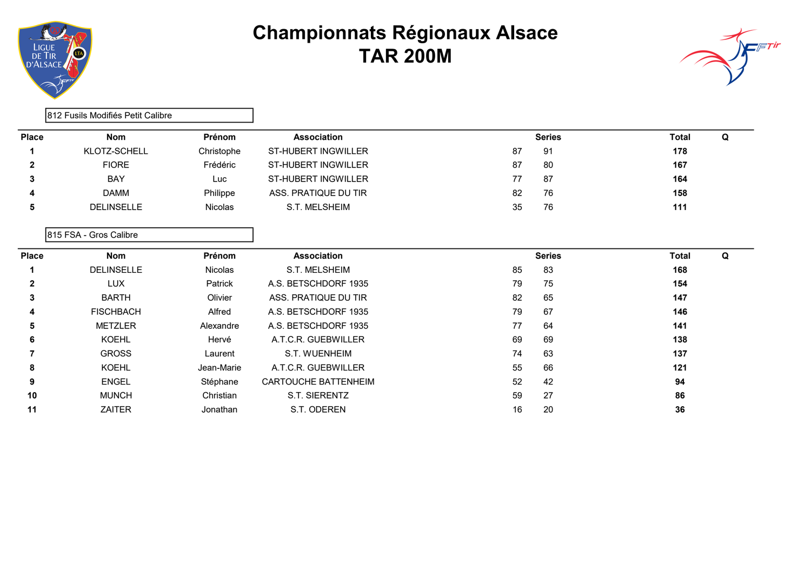

## Championnats Régionaux Alsace TAR 200M



|              | 812 Fusils Modifiés Petit Calibre |                |                            |    |               |              |   |
|--------------|-----------------------------------|----------------|----------------------------|----|---------------|--------------|---|
| <b>Place</b> | <b>Nom</b>                        | Prénom         | <b>Association</b>         |    | <b>Series</b> | <b>Total</b> | Q |
|              | KLOTZ-SCHELL                      | Christophe     | <b>ST-HUBERT INGWILLER</b> | 87 | 91            | 178          |   |
| $\mathbf{2}$ | <b>FIORE</b>                      | Frédéric       | <b>ST-HUBERT INGWILLER</b> | 87 | 80            | 167          |   |
| 3            | <b>BAY</b>                        | Luc            | <b>ST-HUBERT INGWILLER</b> | 77 | 87            | 164          |   |
|              | <b>DAMM</b>                       | Philippe       | ASS. PRATIQUE DU TIR       | 82 | 76            | 158          |   |
| 5            | <b>DELINSELLE</b>                 | <b>Nicolas</b> | S.T. MELSHEIM              | 35 | 76            | 111          |   |
|              | 815 FSA - Gros Calibre            |                |                            |    |               |              |   |
| <b>Place</b> | <b>Nom</b>                        | Prénom         | <b>Association</b>         |    | <b>Series</b> | <b>Total</b> | Q |
|              | <b>DELINSELLE</b>                 | <b>Nicolas</b> | S.T. MELSHEIM              | 85 | 83            | 168          |   |
| $\mathbf{2}$ | <b>LUX</b>                        | Patrick        | A.S. BETSCHDORF 1935       | 79 | 75            | 154          |   |
| 3            | <b>BARTH</b>                      | Olivier        | ASS. PRATIQUE DU TIR       | 82 | 65            | 147          |   |
| 4            | <b>FISCHBACH</b>                  | Alfred         | A.S. BETSCHDORF 1935       | 79 | 67            | 146          |   |
| 5            | <b>METZLER</b>                    | Alexandre      | A.S. BETSCHDORF 1935       | 77 | 64            | 141          |   |
| 6            | <b>KOEHL</b>                      | Hervé          | A.T.C.R. GUEBWILLER        | 69 | 69            | 138          |   |
|              | <b>GROSS</b>                      | Laurent        | S.T. WUENHEIM              | 74 | 63            | 137          |   |
| 8            | <b>KOEHL</b>                      | Jean-Marie     | A.T.C.R. GUEBWILLER        | 55 | 66            | 121          |   |
| 9            | <b>ENGEL</b>                      | Stéphane       | CARTOUCHE BATTENHEIM       | 52 | 42            | 94           |   |
| 10           | <b>MUNCH</b>                      | Christian      | S.T. SIERENTZ              | 59 | 27            | 86           |   |
| 11           | ZAITER                            | Jonathan       | S.T. ODEREN                | 16 | 20            | 36           |   |